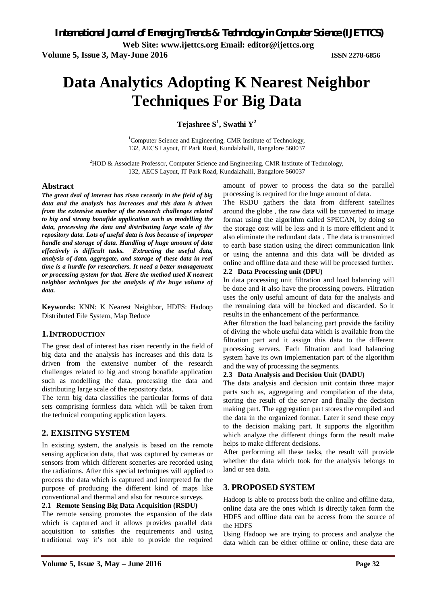**Web Site: www.ijettcs.org Email: editor@ijettcs.org** 

**Volume 5, Issue 3, May-June 2016 ISSN 2278-6856**

# **Data Analytics Adopting K Nearest Neighbor Techniques For Big Data**

**Tejashree S<sup>1</sup> , Swathi Y<sup>2</sup>**

<sup>1</sup>Computer Science and Engineering, CMR Institute of Technology, 132, AECS Layout, IT Park Road, Kundalahalli, Bangalore 560037

<sup>2</sup>HOD & Associate Professor, Computer Science and Engineering, CMR Institute of Technology, 132, AECS Layout, IT Park Road, Kundalahalli, Bangalore 560037

#### **Abstract**

*The great deal of interest has risen recently in the field of big data and the analysis has increases and this data is driven from the extensive number of the research challenges related to big and strong bonafide application such as modelling the data, processing the data and distributing large scale of the repository data. Lots of useful data is loss because of improper handle and storage of data. Handling of huge amount of data effectively is difficult tasks. Extracting the useful data, analysis of data, aggregate, and storage of these data in real time is a hurdle for researchers. It need a better management or processing system for that. Here the method used K nearest neighbor techniques for the analysis of the huge volume of data.* 

**Keywords:** KNN: K Nearest Neighbor, HDFS: Hadoop Distributed File System, Map Reduce

#### **1.INTRODUCTION**

The great deal of interest has risen recently in the field of big data and the analysis has increases and this data is driven from the extensive number of the research challenges related to big and strong bonafide application such as modelling the data, processing the data and distributing large scale of the repository data.

The term big data classifies the particular forms of data sets comprising formless data which will be taken from the technical computing application layers.

#### **2. EXISITNG SYSTEM**

In existing system, the analysis is based on the remote sensing application data, that was captured by cameras or sensors from which different sceneries are recorded using the radiations. After this special techniques will applied to process the data which is captured and interpreted for the purpose of producing the different kind of maps like conventional and thermal and also for resource surveys.

#### **2.1 Remote Sensing Big Data Acquisition (RSDU)**

The remote sensing promotes the expansion of the data which is captured and it allows provides parallel data acquisition to satisfies the requirements and using traditional way it's not able to provide the required amount of power to process the data so the parallel processing is required for the huge amount of data.

The RSDU gathers the data from different satellites around the globe , the raw data will be converted to image format using the algorithm called SPECAN, by doing so the storage cost will be less and it is more efficient and it also eliminate the redundant data . The data is transmitted to earth base station using the direct communication link or using the antenna and this data will be divided as online and offline data and these will be processed further.

#### **2.2 Data Processing unit (DPU)**

In data processing unit filtration and load balancing will be done and it also have the processing powers. Filtration uses the only useful amount of data for the analysis and the remaining data will be blocked and discarded. So it results in the enhancement of the performance.

After filtration the load balancing part provide the facility of diving the whole useful data which is available from the filtration part and it assign this data to the different processing servers. Each filtration and load balancing system have its own implementation part of the algorithm and the way of processing the segments.

#### **2.3 Data Analysis and Decision Unit (DADU)**

The data analysis and decision unit contain three major parts such as, aggregating and compilation of the data, storing the result of the server and finally the decision making part. The aggregation part stores the compiled and the data in the organized format. Later it send these copy to the decision making part. It supports the algorithm which analyze the different things form the result make helps to make different decisions.

After performing all these tasks, the result will provide whether the data which took for the analysis belongs to land or sea data.

#### **3. PROPOSED SYSTEM**

Hadoop is able to process both the online and offline data, online data are the ones which is directly taken form the HDFS and offline data can be access from the source of the HDFS

Using Hadoop we are trying to process and analyze the data which can be either offline or online, these data are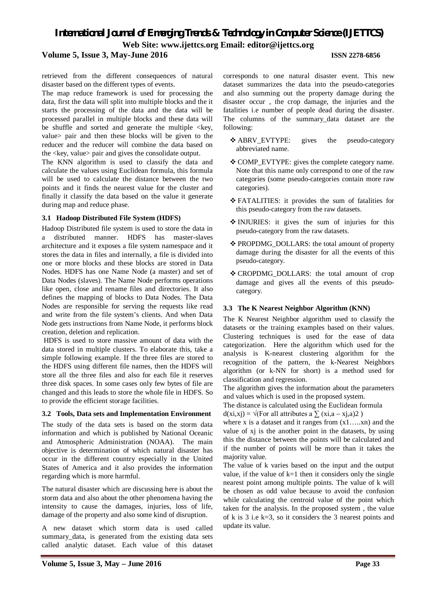### *International Journal of Emerging Trends & Technology in Computer Science (IJETTCS)* **Web Site: www.ijettcs.org Email: editor@ijettcs.org Volume 5, Issue 3, May-June 2016 ISSN 2278-6856**

retrieved from the different consequences of natural disaster based on the different types of events.

The map reduce framework is used for processing the data, first the data will split into multiple blocks and the it starts the processing of the data and the data will be processed parallel in multiple blocks and these data will be shuffle and sorted and generate the multiple  $\langle \text{key}, \rangle$ value> pair and then these blocks will be given to the reducer and the reducer will combine the data based on the <key, value> pair and gives the consolidate output.

The KNN algorithm is used to classify the data and calculate the values using Euclidean formula, this formula will be used to calculate the distance between the two points and it finds the nearest value for the cluster and finally it classify the data based on the value it generate during map and reduce phase.

#### **3.1 Hadoop Distributed File System (HDFS)**

Hadoop Distributed file system is used to store the data in a distributed manner. HDFS has master-slaves architecture and it exposes a file system namespace and it stores the data in files and internally, a file is divided into one or more blocks and these blocks are stored in Data Nodes. HDFS has one Name Node (a master) and set of Data Nodes (slaves). The Name Node performs operations like open, close and rename files and directories. It also defines the mapping of blocks to Data Nodes. The Data Nodes are responsible for serving the requests like read and write from the file system's clients. And when Data Node gets instructions from Name Node, it performs block creation, deletion and replication.

HDFS is used to store massive amount of data with the data stored in multiple clusters. To elaborate this, take a simple following example. If the three files are stored to the HDFS using different file names, then the HDFS will store all the three files and also for each file it reserves three disk spaces. In some cases only few bytes of file are changed and this leads to store the whole file in HDFS. So to provide the efficient storage facilities.

#### **3.2 Tools, Data sets and Implementation Environment**

The study of the data sets is based on the storm data information and which is published by National Oceanic and Atmospheric Administration (NOAA). The main objective is determination of which natural disaster has occur in the different country especially in the United States of America and it also provides the information regarding which is more harmful.

The natural disaster which are discussing here is about the storm data and also about the other phenomena having the intensity to cause the damages, injuries, loss of life, damage of the property and also some kind of disruption.

A new dataset which storm data is used called summary\_data, is generated from the existing data sets called analytic dataset. Each value of this dataset

corresponds to one natural disaster event. This new dataset summarizes the data into the pseudo-categories and also summing out the property damage during the disaster occur , the crop damage, the injuries and the fatalities i.e number of people dead during the disaster. The columns of the summary data dataset are the following:

- ABRV\_EVTYPE: gives the pseudo-category abbreviated name.
- ❖ COMP\_EVTYPE: gives the complete category name. Note that this name only correspond to one of the raw categories (some pseudo-categories contain more raw categories).
- FATALITIES: it provides the sum of fatalities for this pseudo-category from the raw datasets.
- INJURIES: it gives the sum of injuries for this pseudo-category from the raw datasets.
- ❖ PROPDMG DOLLARS: the total amount of property damage during the disaster for all the events of this pseudo-category.
- \* CROPDMG\_DOLLARS: the total amount of crop damage and gives all the events of this pseudocategory.

#### **3.3 The K Nearest Neighbor Algorithm (KNN)**

The K Nearest Neighbor algorithm used to classify the datasets or the training examples based on their values. Clustering techniques is used for the ease of data categorization. Here the algorithm which used for the analysis is K-nearest clustering algorithm for the recognition of the pattern, the k-Nearest Neighbors algorithm (or k-NN for short) is a method used for classification and regression.

The algorithm gives the information about the parameters and values which is used in the proposed system.

The distance is calculated using the Euclidean formula

 $d(xi,xj) = \sqrt{(\text{For all attributes a } \sum_{i} (xi, a - xj, a)2)}$ 

where x is a dataset and it ranges from  $(x1,...,xn)$  and the value of xj is the another point in the datasets, by using this the distance between the points will be calculated and if the number of points will be more than it takes the majority value.

The value of k varies based on the input and the output value, if the value of  $k=1$  then it considers only the single nearest point among multiple points. The value of k will be chosen as odd value because to avoid the confusion while calculating the centroid value of the point which taken for the analysis. In the proposed system , the value of k is 3 i.e k=3, so it considers the 3 nearest points and update its value.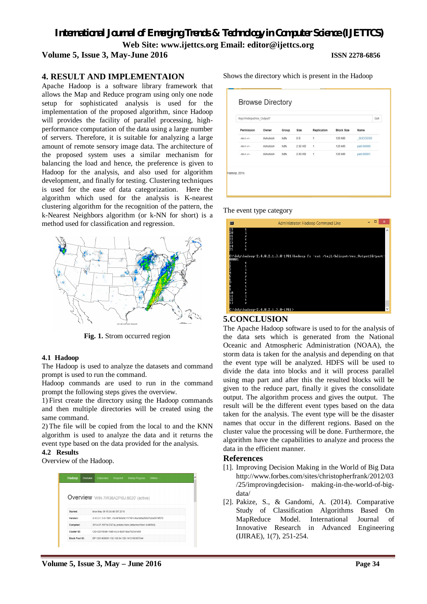*International Journal of Emerging Trends & Technology in Computer Science (IJETTCS)* **Web Site: www.ijettcs.org Email: editor@ijettcs.org** 

**Volume 5, Issue 3, May-June 2016 ISSN 2278-6856**

#### **4. RESULT AND IMPLEMENTAION**

Apache Hadoop is a software library framework that allows the Map and Reduce program using only one node setup for sophisticated analysis is used for the implementation of the proposed algorithm, since Hadoop will provides the facility of parallel processing, highperformance computation of the data using a large number of servers. Therefore, it is suitable for analyzing a large amount of remote sensory image data. The architecture of the proposed system uses a similar mechanism for balancing the load and hence, the preference is given to Hadoop for the analysis, and also used for algorithm development, and finally for testing. Clustering techniques is used for the ease of data categorization. Here the algorithm which used for the analysis is K-nearest clustering algorithm for the recognition of the pattern, the k-Nearest Neighbors algorithm (or k-NN for short) is a method used for classification and regression.



Fig. 1. Strom occurred region

#### **4.1 Hadoop**

The Hadoop is used to analyze the datasets and command prompt is used to run the command.

Hadoop commands are used to run in the command prompt the following steps gives the overview.

1) First create the directory using the Hadoop commands and then multiple directories will be created using the same command.

2) The file will be copied from the local to and the KNN algorithm is used to analyze the data and it returns the event type based on the data provided for the analysis.

#### **4.2 Results**

Overview of the Hadoop.

| Hadoop<br>Overview | <b>Datanodes</b><br>Snapshot<br><b>Startup Progress</b><br><b>Utilities</b> |
|--------------------|-----------------------------------------------------------------------------|
|                    |                                                                             |
|                    | Overview 'WIN-7IR36A2PI0J:8020' (active)                                    |
| Started:           |                                                                             |
|                    | Mon May 09 19:34:48 IST 2016                                                |
| Version:           | 2.4.0.2.1.3.0-1981.r3c481b5d3c117181c4be3d3a25697e2e0574f972                |
| Compiled:          | 2014-07-15T14:23Z by jenkins from (detached from 3c481b5)                   |
| Cluster ID:        | CID-02676048-7e88-4cc4-8dd1-bba792541e65                                    |

Shows the directory which is present in the Hadoop

| /teju1/hdinput/res Output7 |          |       |         |             |                   |                |  |
|----------------------------|----------|-------|---------|-------------|-------------------|----------------|--|
| Permission                 | Owner    | Group | Size    | Replication | <b>Block Size</b> | Name           |  |
| $-W-F-F$                   | Ashutosh | hdfs  | 0B      | 1           | 128 MB            | <b>SUCCESS</b> |  |
| $-W-I-I$                   | Ashutosh | hdfs  | 2.92 KB | 1           | 128 MB            | part-00000     |  |
| $-W-F-F$                   | Ashutosh | hdfs  | 2.83 KB | 1           | 128 MB            | part-00001     |  |

#### The event type category



#### **5.CONCLUSION**

The Apache Hadoop software is used to for the analysis of the data sets which is generated from the National Oceanic and Atmospheric Administration (NOAA), the storm data is taken for the analysis and depending on that the event type will be analyzed. HDFS will be used to divide the data into blocks and it will process parallel using map part and after this the resulted blocks will be given to the reduce part, finally it gives the consolidate output. The algorithm process and gives the output. The result will be the different event types based on the data taken for the analysis. The event type will be the disaster names that occur in the different regions. Based on the cluster value the processing will be done. Furthermore, the algorithm have the capabilities to analyze and process the data in the efficient manner.

#### **References**

- [1]. Improving Decision Making in the World of Big Data http://www.forbes.com/sites/christopherfrank/2012/03 /25/improvingdecision- making-in-the-world-of-bigdata/
- [2]. Pakize, S., & Gandomi, A. (2014). Comparative Study of Classification Algorithms Based On MapReduce Model. International Journal of Innovative Research in Advanced Engineering (IJIRAE), 1(7), 251-254.

**Volume 5, Issue 3, May – June 2016 Page 34**